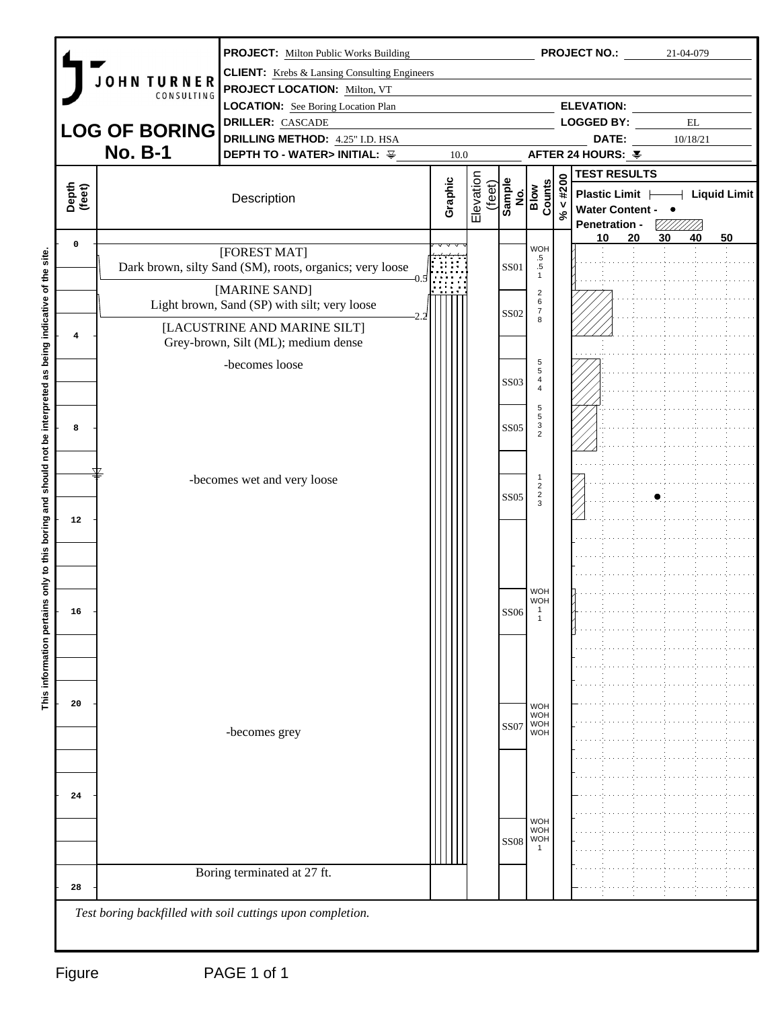|                 |                      | <b>PROJECT:</b> Milton Public Works Building                             |         |           |             |                                              |             | <b>PROJECT NO.:</b>                    |    | 21-04-079                  |    |  |
|-----------------|----------------------|--------------------------------------------------------------------------|---------|-----------|-------------|----------------------------------------------|-------------|----------------------------------------|----|----------------------------|----|--|
|                 | JOHN TURNER          | <b>CLIENT:</b> Krebs & Lansing Consulting Engineers                      |         |           |             |                                              |             |                                        |    |                            |    |  |
|                 | CONSULTING           | <b>PROJECT LOCATION: Milton, VT</b>                                      |         |           |             |                                              |             |                                        |    |                            |    |  |
|                 |                      | <b>LOCATION:</b> See Boring Location Plan                                |         |           |             |                                              |             | <b>ELEVATION:</b><br><b>LOGGED BY:</b> |    | $\mathop{\rm EL}$          |    |  |
|                 | <b>LOG OF BORING</b> | <b>DRILLER:</b> CASCADE<br><b>DRILLING METHOD:</b> 4.25" I.D. HSA        |         |           |             |                                              |             | DATE:                                  |    | 10/18/21                   |    |  |
|                 | <b>No. B-1</b>       | <b>DEPTH TO - WATER&gt; INITIAL:</b> 꾷                                   | 10.0    |           |             |                                              |             | AFTER 24 HOURS: ¥                      |    |                            |    |  |
|                 |                      |                                                                          |         |           |             |                                              |             | <b>TEST RESULTS</b>                    |    |                            |    |  |
|                 |                      |                                                                          |         | (feet)    |             |                                              |             | Plastic Limit                          |    | $\rightarrow$ Liquid Limit |    |  |
| Depth<br>(feet) |                      | Description                                                              | Graphic | Elevation |             | Sample<br>No.<br>Blow<br>Counts              | $\% < #200$ | Water Content - •                      |    |                            |    |  |
|                 |                      |                                                                          |         |           |             |                                              |             | Penetration -                          |    |                            |    |  |
| $\mathbf 0$     |                      |                                                                          |         |           |             | <b>WOH</b>                                   |             | 20<br>10                               | 30 | 40                         | 50 |  |
|                 |                      | [FOREST MAT]<br>Dark brown, silty Sand (SM), roots, organics; very loose |         |           | SS01        | $\begin{array}{c} .5 \\ .5 \\ 1 \end{array}$ |             |                                        |    |                            |    |  |
|                 |                      |                                                                          |         |           |             |                                              |             |                                        |    |                            |    |  |
|                 |                      | [MARINE SAND]<br>Light brown, Sand (SP) with silt; very loose            |         |           |             | $\overline{2}$<br>6                          |             |                                        |    |                            |    |  |
|                 |                      |                                                                          |         |           | <b>SS02</b> | $\begin{array}{c} 7 \\ 8 \end{array}$        |             |                                        |    |                            |    |  |
| $\overline{4}$  |                      | [LACUSTRINE AND MARINE SILT]<br>Grey-brown, Silt (ML); medium dense      |         |           |             |                                              |             |                                        |    |                            |    |  |
|                 |                      |                                                                          |         |           |             |                                              |             |                                        |    |                            |    |  |
|                 |                      | -becomes loose                                                           |         |           |             | $\sqrt{5}$<br>$\sqrt{5}$                     |             |                                        |    |                            |    |  |
|                 |                      |                                                                          |         |           | <b>SS03</b> | $\begin{array}{c} 4 \\ 4 \end{array}$        |             |                                        |    |                            |    |  |
|                 |                      |                                                                          |         |           |             | $\sqrt{5}$<br>5                              |             |                                        |    |                            |    |  |
| 8               |                      |                                                                          |         |           | <b>SS05</b> | $\frac{3}{2}$                                |             |                                        |    |                            |    |  |
|                 |                      |                                                                          |         |           |             |                                              |             |                                        |    |                            |    |  |
|                 |                      |                                                                          |         |           |             |                                              |             |                                        |    |                            |    |  |
|                 |                      | -becomes wet and very loose                                              |         |           |             | -1<br>$\overline{c}$                         |             |                                        |    |                            |    |  |
|                 |                      |                                                                          |         |           | <b>SS05</b> | $\frac{2}{3}$                                |             |                                        |    |                            |    |  |
| 12              |                      |                                                                          |         |           |             |                                              |             |                                        |    |                            |    |  |
|                 |                      |                                                                          |         |           |             |                                              |             |                                        |    |                            |    |  |
|                 |                      |                                                                          |         |           |             |                                              |             |                                        |    |                            |    |  |
|                 |                      |                                                                          |         |           |             |                                              |             |                                        |    |                            |    |  |
|                 |                      |                                                                          |         |           |             | <b>WOH</b><br>WOH                            |             |                                        |    |                            |    |  |
| 16              |                      |                                                                          |         |           | SS06        | -1                                           |             |                                        |    |                            |    |  |
|                 |                      |                                                                          |         |           |             |                                              |             |                                        |    |                            |    |  |
|                 |                      |                                                                          |         |           |             |                                              |             |                                        |    |                            |    |  |
|                 |                      |                                                                          |         |           |             |                                              |             |                                        |    |                            |    |  |
|                 |                      |                                                                          |         |           |             |                                              |             |                                        |    |                            |    |  |
| 20              |                      |                                                                          |         |           |             | <b>WOH</b>                                   |             |                                        |    |                            |    |  |
|                 |                      |                                                                          |         |           | SS07        | WOH<br>WOH<br>WOH                            |             |                                        |    |                            |    |  |
|                 |                      | -becomes grey                                                            |         |           |             |                                              |             |                                        |    |                            |    |  |
|                 |                      |                                                                          |         |           |             |                                              |             |                                        |    |                            |    |  |
|                 |                      |                                                                          |         |           |             |                                              |             |                                        |    |                            |    |  |
| 24              |                      |                                                                          |         |           |             |                                              |             |                                        |    |                            |    |  |
|                 |                      |                                                                          |         |           |             | <b>WOH</b>                                   |             |                                        |    |                            |    |  |
|                 |                      |                                                                          |         |           | <b>SS08</b> | <b>WOH</b><br><b>WOH</b>                     |             |                                        |    |                            |    |  |
|                 |                      |                                                                          |         |           |             |                                              |             |                                        |    |                            |    |  |
|                 |                      | Boring terminated at 27 ft.                                              |         |           |             |                                              |             |                                        |    |                            |    |  |
| 28              |                      |                                                                          |         |           |             |                                              |             |                                        |    |                            |    |  |
|                 |                      | Test boring backfilled with soil cuttings upon completion.               |         |           |             |                                              |             |                                        |    |                            |    |  |
|                 |                      |                                                                          |         |           |             |                                              |             |                                        |    |                            |    |  |
|                 |                      |                                                                          |         |           |             |                                              |             |                                        |    |                            |    |  |
|                 |                      |                                                                          |         |           |             |                                              |             |                                        |    |                            |    |  |
| Figure          |                      | PAGE 1 of 1                                                              |         |           |             |                                              |             |                                        |    |                            |    |  |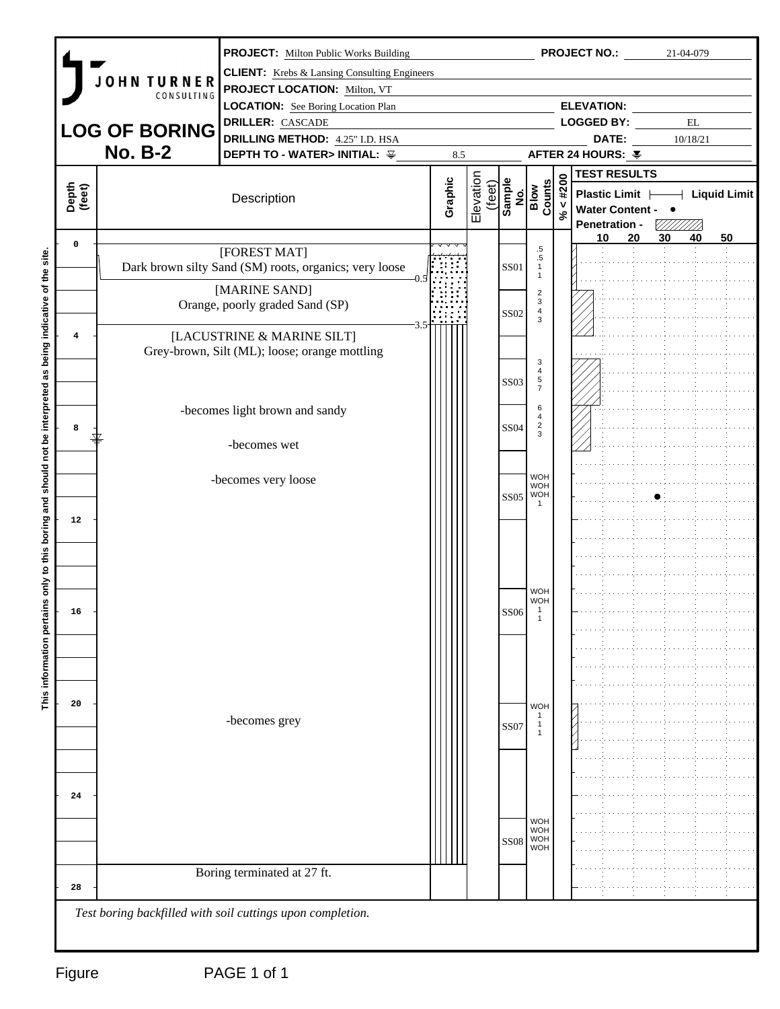|                 |                      | <b>PROJECT:</b> Milton Public Works Building                                               |         |                     |                  |                                                       |             | <b>PROJECT NO.:</b>                               |          | 21-04-079         |    |  |
|-----------------|----------------------|--------------------------------------------------------------------------------------------|---------|---------------------|------------------|-------------------------------------------------------|-------------|---------------------------------------------------|----------|-------------------|----|--|
|                 | <b>OHN TURNER</b>    | <b>CLIENT:</b> Krebs & Lansing Consulting Engineers<br><b>PROJECT LOCATION: Milton, VT</b> |         |                     |                  |                                                       |             |                                                   |          |                   |    |  |
|                 | CONSULTING           | <b>LOCATION:</b> See Boring Location Plan                                                  |         |                     |                  |                                                       |             | <b>ELEVATION:</b>                                 |          |                   |    |  |
|                 |                      | <b>DRILLER:</b> CASCADE                                                                    |         |                     |                  |                                                       |             | <b>LOGGED BY:</b>                                 |          | $\mathop{\rm EL}$ |    |  |
|                 | <b>LOG OF BORING</b> | <b>DRILLING METHOD:</b> 4.25" I.D. HSA                                                     |         |                     |                  |                                                       |             | DATE:                                             |          | 10/18/21          |    |  |
|                 | <b>No. B-2</b>       | DEPTH TO - WATER> INITIAL: ¥                                                               | 8.5     |                     |                  |                                                       |             | AFTER 24 HOURS: ¥                                 |          |                   |    |  |
|                 |                      |                                                                                            |         |                     |                  |                                                       |             | <b>TEST RESULTS</b>                               |          |                   |    |  |
| Depth<br>(feet) |                      | Description                                                                                | Graphic | Elevation<br>(feet) |                  | Sample<br>No.<br>Blow<br>Counts                       | $\% < #200$ | Plastic Limit   Liquid Limit<br>Water Content - • |          |                   |    |  |
|                 |                      |                                                                                            |         |                     |                  |                                                       |             | Penetration -                                     |          |                   |    |  |
| $\mathbf 0$     |                      | [FOREST MAT]                                                                               |         |                     |                  | $.5\,$                                                |             | 10                                                | 20<br>30 | 40                | 50 |  |
|                 |                      | Dark brown silty Sand (SM) roots, organics; very loose                                     |         |                     | SS01             | $.5\,$<br>$\overline{1}$<br>$\overline{1}$            |             |                                                   |          |                   |    |  |
|                 |                      | [MARINE SAND]                                                                              |         |                     |                  | $\overline{2}$                                        |             |                                                   |          |                   |    |  |
|                 |                      | Orange, poorly graded Sand (SP)                                                            |         |                     | <b>SS02</b>      | $\mathbf{3}$<br>$\begin{array}{c} 4 \\ 3 \end{array}$ |             |                                                   |          |                   |    |  |
| $\overline{4}$  |                      | [LACUSTRINE & MARINE SILT]                                                                 |         |                     |                  |                                                       |             |                                                   |          |                   |    |  |
|                 |                      | Grey-brown, Silt (ML); loose; orange mottling                                              |         |                     |                  |                                                       |             |                                                   |          |                   |    |  |
|                 |                      |                                                                                            |         |                     |                  | 3<br>$\overline{4}$                                   |             |                                                   |          |                   |    |  |
|                 |                      |                                                                                            |         |                     | <b>SS03</b>      | $\frac{5}{7}$                                         |             |                                                   |          |                   |    |  |
|                 |                      | -becomes light brown and sandy                                                             |         |                     |                  | 6<br>4                                                |             |                                                   |          |                   |    |  |
| 8               |                      |                                                                                            |         |                     | <b>SS04</b>      | $\frac{2}{3}$                                         |             |                                                   |          |                   |    |  |
|                 |                      | -becomes wet                                                                               |         |                     |                  |                                                       |             |                                                   |          |                   |    |  |
|                 |                      |                                                                                            |         |                     |                  |                                                       |             |                                                   |          |                   |    |  |
|                 |                      | -becomes very loose                                                                        |         |                     |                  | <b>WOH</b><br><b>WOH</b>                              |             |                                                   |          |                   |    |  |
|                 |                      |                                                                                            |         |                     |                  | $SS05$ WOH                                            |             |                                                   |          |                   |    |  |
| 12              |                      |                                                                                            |         |                     |                  |                                                       |             |                                                   |          |                   |    |  |
|                 |                      |                                                                                            |         |                     |                  |                                                       |             |                                                   |          |                   |    |  |
|                 |                      |                                                                                            |         |                     |                  |                                                       |             |                                                   |          |                   |    |  |
|                 |                      |                                                                                            |         |                     |                  |                                                       |             |                                                   |          |                   |    |  |
|                 |                      |                                                                                            |         |                     |                  | <b>WOH</b><br>WOH                                     |             |                                                   |          |                   |    |  |
| 16              |                      |                                                                                            |         |                     | SS06             |                                                       |             |                                                   |          |                   |    |  |
|                 |                      |                                                                                            |         |                     |                  |                                                       |             |                                                   |          |                   |    |  |
|                 |                      |                                                                                            |         |                     |                  |                                                       |             |                                                   |          |                   |    |  |
|                 |                      |                                                                                            |         |                     |                  |                                                       |             |                                                   |          |                   |    |  |
|                 |                      |                                                                                            |         |                     |                  |                                                       |             |                                                   |          |                   |    |  |
| 20              |                      | -becomes grey                                                                              |         |                     |                  | <b>WOH</b>                                            |             |                                                   |          |                   |    |  |
|                 |                      |                                                                                            |         |                     | SS07             |                                                       |             |                                                   |          |                   |    |  |
|                 |                      |                                                                                            |         |                     |                  |                                                       |             |                                                   |          |                   |    |  |
|                 |                      |                                                                                            |         |                     |                  |                                                       |             |                                                   |          |                   |    |  |
| 24              |                      |                                                                                            |         |                     |                  |                                                       |             |                                                   |          |                   |    |  |
|                 |                      |                                                                                            |         |                     |                  |                                                       |             |                                                   |          |                   |    |  |
|                 |                      |                                                                                            |         |                     |                  | <b>WOH</b><br><b>WOH</b>                              |             |                                                   |          |                   |    |  |
|                 |                      |                                                                                            |         |                     | SS <sub>08</sub> | <b>WOH</b><br><b>WOH</b>                              |             |                                                   |          |                   |    |  |
|                 |                      | Boring terminated at 27 ft.                                                                |         |                     |                  |                                                       |             |                                                   |          |                   |    |  |
| 28              |                      |                                                                                            |         |                     |                  |                                                       |             |                                                   |          |                   |    |  |
|                 |                      | Test boring backfilled with soil cuttings upon completion.                                 |         |                     |                  |                                                       |             |                                                   |          |                   |    |  |
|                 |                      |                                                                                            |         |                     |                  |                                                       |             |                                                   |          |                   |    |  |
|                 |                      |                                                                                            |         |                     |                  |                                                       |             |                                                   |          |                   |    |  |
| Figure          |                      | PAGE 1 of 1                                                                                |         |                     |                  |                                                       |             |                                                   |          |                   |    |  |
|                 |                      |                                                                                            |         |                     |                  |                                                       |             |                                                   |          |                   |    |  |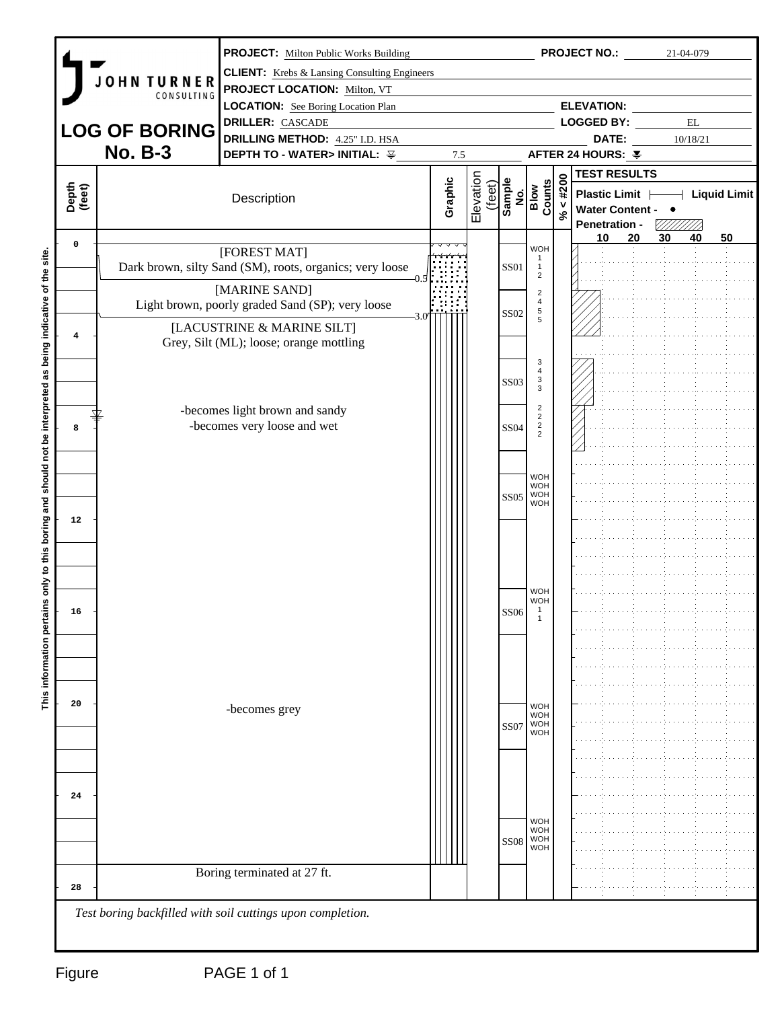| <b>PROJECT NO.:</b><br><b>PROJECT:</b> Milton Public Works Building                                                                         | 21-04-079                             |
|---------------------------------------------------------------------------------------------------------------------------------------------|---------------------------------------|
| <b>CLIENT:</b> Krebs & Lansing Consulting Engineers<br><b>OHN TURNER</b>                                                                    |                                       |
| <b>PROJECT LOCATION: Milton, VT</b><br>CONSULTING                                                                                           |                                       |
| <b>ELEVATION:</b><br><b>LOCATION:</b> See Boring Location Plan                                                                              |                                       |
| <b>DRILLER:</b> CASCADE<br><b>LOGGED BY:</b><br><b>LOG OF BORING</b>                                                                        | $\mathop{\rm EL}$                     |
| <b>DRILLING METHOD:</b> 4.25" I.D. HSA<br>DATE:<br><b>No. B-3</b><br><b>DEPTH TO - WATER&gt; INITIAL:</b> 꾷<br>AFTER 24 HOURS: ¥<br>7.5     | 10/18/21                              |
| <b>TEST RESULTS</b>                                                                                                                         |                                       |
| $4*200$                                                                                                                                     |                                       |
| Elevation<br>Graphic<br>Sample<br>No.<br>Blow<br>Counts<br>(feet)<br>Depth<br>(feet)<br>Plastic Limit  <br>Description<br>Water Content - • | $\overline{\phantom{a}}$ Liquid Limit |
| $\aleph$<br>Penetration -                                                                                                                   |                                       |
| 20<br>10<br>$\mathbf 0$<br><b>WOH</b>                                                                                                       | 50<br>30<br>40                        |
| [FOREST MAT]<br>Dark brown, silty Sand (SM), roots, organics; very loose<br>SS01<br>$\overline{1}$                                          |                                       |
| $\overline{2}$                                                                                                                              |                                       |
| [MARINE SAND]<br>$\overline{2}$<br>$\overline{4}$<br>Light brown, poorly graded Sand (SP); very loose                                       |                                       |
| $\begin{array}{c} 5 \\ 5 \end{array}$<br><b>SS02</b>                                                                                        |                                       |
| [LACUSTRINE & MARINE SILT]<br>$\overline{4}$<br>Grey, Silt (ML); loose; orange mottling                                                     |                                       |
|                                                                                                                                             |                                       |
| 3<br>$\overline{4}$                                                                                                                         |                                       |
| $\frac{3}{3}$<br><b>SS03</b>                                                                                                                |                                       |
| $\overline{2}$<br>-becomes light brown and sandy<br>$\overline{2}$                                                                          |                                       |
| -becomes very loose and wet<br>$\frac{2}{2}$<br><b>SS04</b><br>8                                                                            |                                       |
|                                                                                                                                             |                                       |
|                                                                                                                                             |                                       |
| <b>WOH</b><br><b>WOH</b>                                                                                                                    |                                       |
| $SS05$ WOH<br><b>WOH</b>                                                                                                                    |                                       |
| 12                                                                                                                                          |                                       |
|                                                                                                                                             |                                       |
|                                                                                                                                             |                                       |
|                                                                                                                                             |                                       |
| <b>WOH</b>                                                                                                                                  |                                       |
| WOH<br>16<br><b>SS06</b>                                                                                                                    |                                       |
|                                                                                                                                             |                                       |
|                                                                                                                                             |                                       |
|                                                                                                                                             |                                       |
|                                                                                                                                             |                                       |
| 20                                                                                                                                          |                                       |
| <b>WOH</b><br>-becomes grey<br><b>WOH</b>                                                                                                   |                                       |
| WOH<br>WOH<br>SS07                                                                                                                          |                                       |
|                                                                                                                                             |                                       |
|                                                                                                                                             |                                       |
| 24                                                                                                                                          |                                       |
|                                                                                                                                             |                                       |
| <b>WOH</b><br><b>WOH</b>                                                                                                                    |                                       |
| <b>WOH</b><br><b>SS08</b><br><b>WOH</b>                                                                                                     |                                       |
|                                                                                                                                             |                                       |
| Boring terminated at 27 ft.                                                                                                                 |                                       |
| 28                                                                                                                                          |                                       |
| Test boring backfilled with soil cuttings upon completion.                                                                                  |                                       |
|                                                                                                                                             |                                       |
|                                                                                                                                             |                                       |
| PAGE 1 of 1<br>Figure                                                                                                                       |                                       |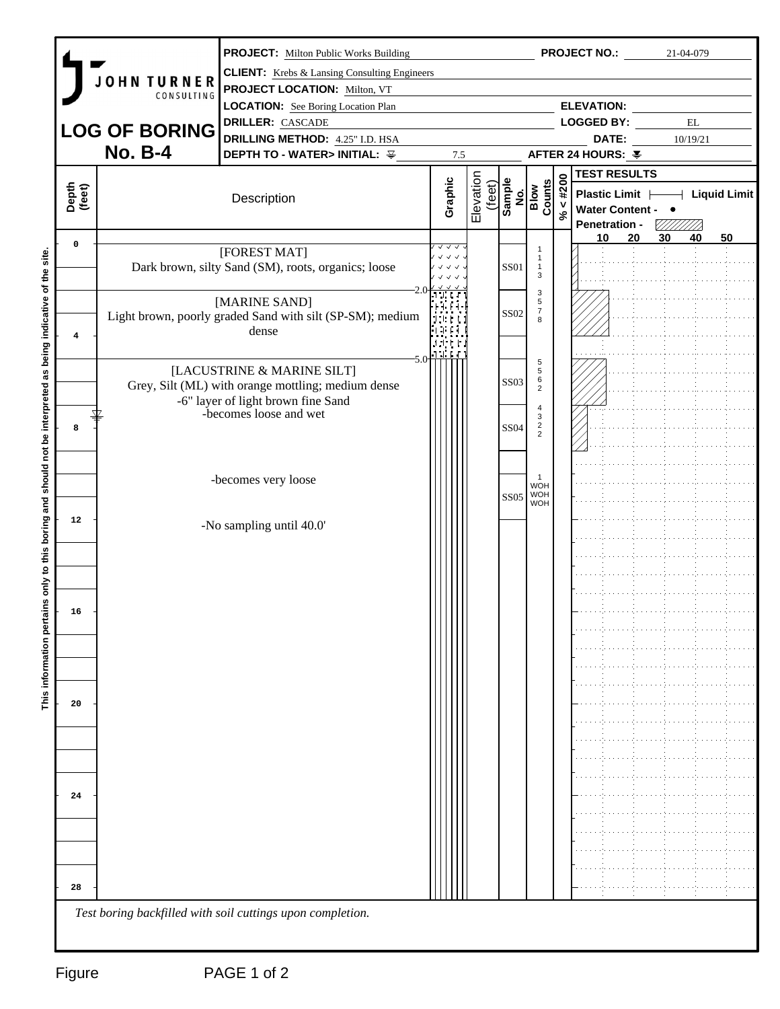| <b>CLIENT:</b> Krebs & Lansing Consulting Engineers<br><b>OHN TURNER</b><br><b>PROJECT LOCATION: Milton, VT</b><br>CONSULTING<br><b>ELEVATION:</b><br><b>LOCATION:</b> See Boring Location Plan<br><b>DRILLER:</b> CASCADE<br><b>LOGGED BY:</b><br>$\mathbf{EL}$<br><b>LOG OF BORING</b><br><b>DRILLING METHOD:</b> 4.25" I.D. HSA<br>DATE:<br>10/19/21<br><b>No. B-4</b><br><b>DEPTH TO - WATER&gt; INITIAL:</b> 꾷<br>AFTER 24 HOURS: ¥<br>7.5<br><b>TEST RESULTS</b><br>Elevation<br>$\% < #200$<br>Graphic<br>Sample<br>No.<br>Blow<br>Counts<br>(feet)<br>Depth<br>(feet)<br>Plastic Limit  <br>Description<br>Water Content - •<br><b>Penetration -</b><br>VIIIIIII<br>20<br>30<br>40<br>50<br>10<br>$\mathbf 0$<br>$\sqrt{2}$<br>[FOREST MAT]<br>$\checkmark$ $\checkmark$ $\checkmark$<br>$\overline{1}$<br>Dark brown, silty Sand (SM), roots, organics; loose<br><b>SS01</b><br>$\sqrt{1}$<br>$\mathbf{3}$<br>$\mathbf{3}$<br>[MARINE SAND]<br>5<br>$\overline{7}$<br><b>SS02</b><br>Light brown, poorly graded Sand with silt (SP-SM); medium<br>1900 F<br>8<br>dense<br>$\overline{\mathbf{4}}$<br>$-5.0$<br>$\sqrt{5}$<br>[LACUSTRINE & MARINE SILT]<br>$5\phantom{.0}$<br>$6\phantom{.}6$<br><b>SS03</b><br>Grey, Silt (ML) with orange mottling; medium dense<br>$\overline{2}$<br>-6" layer of light brown fine Sand<br>$\overline{4}$<br>-becomes loose and wet<br>$\mathbf{3}$<br>$\frac{2}{2}$<br><b>SS04</b><br>8<br>$\overline{1}$<br>-becomes very loose<br>WOH<br>$SS05$ WOH<br><b>WOH</b><br>12<br>-No sampling until 40.0'<br>16<br>20<br>24<br>28 |        | <b>PROJECT:</b> Milton Public Works Building |  |  | <b>PROJECT NO.:</b> | 21-04-079 |  |
|----------------------------------------------------------------------------------------------------------------------------------------------------------------------------------------------------------------------------------------------------------------------------------------------------------------------------------------------------------------------------------------------------------------------------------------------------------------------------------------------------------------------------------------------------------------------------------------------------------------------------------------------------------------------------------------------------------------------------------------------------------------------------------------------------------------------------------------------------------------------------------------------------------------------------------------------------------------------------------------------------------------------------------------------------------------------------------------------------------------------------------------------------------------------------------------------------------------------------------------------------------------------------------------------------------------------------------------------------------------------------------------------------------------------------------------------------------------------------------------------------------------------------------------------------------------------------|--------|----------------------------------------------|--|--|---------------------|-----------|--|
|                                                                                                                                                                                                                                                                                                                                                                                                                                                                                                                                                                                                                                                                                                                                                                                                                                                                                                                                                                                                                                                                                                                                                                                                                                                                                                                                                                                                                                                                                                                                                                            |        |                                              |  |  |                     |           |  |
|                                                                                                                                                                                                                                                                                                                                                                                                                                                                                                                                                                                                                                                                                                                                                                                                                                                                                                                                                                                                                                                                                                                                                                                                                                                                                                                                                                                                                                                                                                                                                                            |        |                                              |  |  |                     |           |  |
| $+$ Liquid Limit                                                                                                                                                                                                                                                                                                                                                                                                                                                                                                                                                                                                                                                                                                                                                                                                                                                                                                                                                                                                                                                                                                                                                                                                                                                                                                                                                                                                                                                                                                                                                           |        |                                              |  |  |                     |           |  |
|                                                                                                                                                                                                                                                                                                                                                                                                                                                                                                                                                                                                                                                                                                                                                                                                                                                                                                                                                                                                                                                                                                                                                                                                                                                                                                                                                                                                                                                                                                                                                                            |        |                                              |  |  |                     |           |  |
|                                                                                                                                                                                                                                                                                                                                                                                                                                                                                                                                                                                                                                                                                                                                                                                                                                                                                                                                                                                                                                                                                                                                                                                                                                                                                                                                                                                                                                                                                                                                                                            |        |                                              |  |  |                     |           |  |
|                                                                                                                                                                                                                                                                                                                                                                                                                                                                                                                                                                                                                                                                                                                                                                                                                                                                                                                                                                                                                                                                                                                                                                                                                                                                                                                                                                                                                                                                                                                                                                            |        |                                              |  |  |                     |           |  |
|                                                                                                                                                                                                                                                                                                                                                                                                                                                                                                                                                                                                                                                                                                                                                                                                                                                                                                                                                                                                                                                                                                                                                                                                                                                                                                                                                                                                                                                                                                                                                                            |        |                                              |  |  |                     |           |  |
|                                                                                                                                                                                                                                                                                                                                                                                                                                                                                                                                                                                                                                                                                                                                                                                                                                                                                                                                                                                                                                                                                                                                                                                                                                                                                                                                                                                                                                                                                                                                                                            |        |                                              |  |  |                     |           |  |
|                                                                                                                                                                                                                                                                                                                                                                                                                                                                                                                                                                                                                                                                                                                                                                                                                                                                                                                                                                                                                                                                                                                                                                                                                                                                                                                                                                                                                                                                                                                                                                            |        |                                              |  |  |                     |           |  |
|                                                                                                                                                                                                                                                                                                                                                                                                                                                                                                                                                                                                                                                                                                                                                                                                                                                                                                                                                                                                                                                                                                                                                                                                                                                                                                                                                                                                                                                                                                                                                                            |        |                                              |  |  |                     |           |  |
|                                                                                                                                                                                                                                                                                                                                                                                                                                                                                                                                                                                                                                                                                                                                                                                                                                                                                                                                                                                                                                                                                                                                                                                                                                                                                                                                                                                                                                                                                                                                                                            |        |                                              |  |  |                     |           |  |
|                                                                                                                                                                                                                                                                                                                                                                                                                                                                                                                                                                                                                                                                                                                                                                                                                                                                                                                                                                                                                                                                                                                                                                                                                                                                                                                                                                                                                                                                                                                                                                            |        |                                              |  |  |                     |           |  |
|                                                                                                                                                                                                                                                                                                                                                                                                                                                                                                                                                                                                                                                                                                                                                                                                                                                                                                                                                                                                                                                                                                                                                                                                                                                                                                                                                                                                                                                                                                                                                                            |        |                                              |  |  |                     |           |  |
|                                                                                                                                                                                                                                                                                                                                                                                                                                                                                                                                                                                                                                                                                                                                                                                                                                                                                                                                                                                                                                                                                                                                                                                                                                                                                                                                                                                                                                                                                                                                                                            |        |                                              |  |  |                     |           |  |
|                                                                                                                                                                                                                                                                                                                                                                                                                                                                                                                                                                                                                                                                                                                                                                                                                                                                                                                                                                                                                                                                                                                                                                                                                                                                                                                                                                                                                                                                                                                                                                            |        |                                              |  |  |                     |           |  |
|                                                                                                                                                                                                                                                                                                                                                                                                                                                                                                                                                                                                                                                                                                                                                                                                                                                                                                                                                                                                                                                                                                                                                                                                                                                                                                                                                                                                                                                                                                                                                                            |        |                                              |  |  |                     |           |  |
|                                                                                                                                                                                                                                                                                                                                                                                                                                                                                                                                                                                                                                                                                                                                                                                                                                                                                                                                                                                                                                                                                                                                                                                                                                                                                                                                                                                                                                                                                                                                                                            |        |                                              |  |  |                     |           |  |
|                                                                                                                                                                                                                                                                                                                                                                                                                                                                                                                                                                                                                                                                                                                                                                                                                                                                                                                                                                                                                                                                                                                                                                                                                                                                                                                                                                                                                                                                                                                                                                            |        |                                              |  |  |                     |           |  |
|                                                                                                                                                                                                                                                                                                                                                                                                                                                                                                                                                                                                                                                                                                                                                                                                                                                                                                                                                                                                                                                                                                                                                                                                                                                                                                                                                                                                                                                                                                                                                                            |        |                                              |  |  |                     |           |  |
|                                                                                                                                                                                                                                                                                                                                                                                                                                                                                                                                                                                                                                                                                                                                                                                                                                                                                                                                                                                                                                                                                                                                                                                                                                                                                                                                                                                                                                                                                                                                                                            |        |                                              |  |  |                     |           |  |
|                                                                                                                                                                                                                                                                                                                                                                                                                                                                                                                                                                                                                                                                                                                                                                                                                                                                                                                                                                                                                                                                                                                                                                                                                                                                                                                                                                                                                                                                                                                                                                            |        |                                              |  |  |                     |           |  |
|                                                                                                                                                                                                                                                                                                                                                                                                                                                                                                                                                                                                                                                                                                                                                                                                                                                                                                                                                                                                                                                                                                                                                                                                                                                                                                                                                                                                                                                                                                                                                                            |        |                                              |  |  |                     |           |  |
|                                                                                                                                                                                                                                                                                                                                                                                                                                                                                                                                                                                                                                                                                                                                                                                                                                                                                                                                                                                                                                                                                                                                                                                                                                                                                                                                                                                                                                                                                                                                                                            |        |                                              |  |  |                     |           |  |
|                                                                                                                                                                                                                                                                                                                                                                                                                                                                                                                                                                                                                                                                                                                                                                                                                                                                                                                                                                                                                                                                                                                                                                                                                                                                                                                                                                                                                                                                                                                                                                            |        |                                              |  |  |                     |           |  |
|                                                                                                                                                                                                                                                                                                                                                                                                                                                                                                                                                                                                                                                                                                                                                                                                                                                                                                                                                                                                                                                                                                                                                                                                                                                                                                                                                                                                                                                                                                                                                                            |        |                                              |  |  |                     |           |  |
|                                                                                                                                                                                                                                                                                                                                                                                                                                                                                                                                                                                                                                                                                                                                                                                                                                                                                                                                                                                                                                                                                                                                                                                                                                                                                                                                                                                                                                                                                                                                                                            |        |                                              |  |  |                     |           |  |
|                                                                                                                                                                                                                                                                                                                                                                                                                                                                                                                                                                                                                                                                                                                                                                                                                                                                                                                                                                                                                                                                                                                                                                                                                                                                                                                                                                                                                                                                                                                                                                            |        |                                              |  |  |                     |           |  |
|                                                                                                                                                                                                                                                                                                                                                                                                                                                                                                                                                                                                                                                                                                                                                                                                                                                                                                                                                                                                                                                                                                                                                                                                                                                                                                                                                                                                                                                                                                                                                                            |        |                                              |  |  |                     |           |  |
|                                                                                                                                                                                                                                                                                                                                                                                                                                                                                                                                                                                                                                                                                                                                                                                                                                                                                                                                                                                                                                                                                                                                                                                                                                                                                                                                                                                                                                                                                                                                                                            |        |                                              |  |  |                     |           |  |
|                                                                                                                                                                                                                                                                                                                                                                                                                                                                                                                                                                                                                                                                                                                                                                                                                                                                                                                                                                                                                                                                                                                                                                                                                                                                                                                                                                                                                                                                                                                                                                            |        |                                              |  |  |                     |           |  |
|                                                                                                                                                                                                                                                                                                                                                                                                                                                                                                                                                                                                                                                                                                                                                                                                                                                                                                                                                                                                                                                                                                                                                                                                                                                                                                                                                                                                                                                                                                                                                                            |        |                                              |  |  |                     |           |  |
|                                                                                                                                                                                                                                                                                                                                                                                                                                                                                                                                                                                                                                                                                                                                                                                                                                                                                                                                                                                                                                                                                                                                                                                                                                                                                                                                                                                                                                                                                                                                                                            |        |                                              |  |  |                     |           |  |
|                                                                                                                                                                                                                                                                                                                                                                                                                                                                                                                                                                                                                                                                                                                                                                                                                                                                                                                                                                                                                                                                                                                                                                                                                                                                                                                                                                                                                                                                                                                                                                            |        |                                              |  |  |                     |           |  |
|                                                                                                                                                                                                                                                                                                                                                                                                                                                                                                                                                                                                                                                                                                                                                                                                                                                                                                                                                                                                                                                                                                                                                                                                                                                                                                                                                                                                                                                                                                                                                                            |        |                                              |  |  |                     |           |  |
|                                                                                                                                                                                                                                                                                                                                                                                                                                                                                                                                                                                                                                                                                                                                                                                                                                                                                                                                                                                                                                                                                                                                                                                                                                                                                                                                                                                                                                                                                                                                                                            |        |                                              |  |  |                     |           |  |
|                                                                                                                                                                                                                                                                                                                                                                                                                                                                                                                                                                                                                                                                                                                                                                                                                                                                                                                                                                                                                                                                                                                                                                                                                                                                                                                                                                                                                                                                                                                                                                            |        |                                              |  |  |                     |           |  |
|                                                                                                                                                                                                                                                                                                                                                                                                                                                                                                                                                                                                                                                                                                                                                                                                                                                                                                                                                                                                                                                                                                                                                                                                                                                                                                                                                                                                                                                                                                                                                                            |        |                                              |  |  |                     |           |  |
|                                                                                                                                                                                                                                                                                                                                                                                                                                                                                                                                                                                                                                                                                                                                                                                                                                                                                                                                                                                                                                                                                                                                                                                                                                                                                                                                                                                                                                                                                                                                                                            |        |                                              |  |  |                     |           |  |
|                                                                                                                                                                                                                                                                                                                                                                                                                                                                                                                                                                                                                                                                                                                                                                                                                                                                                                                                                                                                                                                                                                                                                                                                                                                                                                                                                                                                                                                                                                                                                                            |        |                                              |  |  |                     |           |  |
|                                                                                                                                                                                                                                                                                                                                                                                                                                                                                                                                                                                                                                                                                                                                                                                                                                                                                                                                                                                                                                                                                                                                                                                                                                                                                                                                                                                                                                                                                                                                                                            |        |                                              |  |  |                     |           |  |
|                                                                                                                                                                                                                                                                                                                                                                                                                                                                                                                                                                                                                                                                                                                                                                                                                                                                                                                                                                                                                                                                                                                                                                                                                                                                                                                                                                                                                                                                                                                                                                            |        |                                              |  |  |                     |           |  |
|                                                                                                                                                                                                                                                                                                                                                                                                                                                                                                                                                                                                                                                                                                                                                                                                                                                                                                                                                                                                                                                                                                                                                                                                                                                                                                                                                                                                                                                                                                                                                                            |        |                                              |  |  |                     |           |  |
|                                                                                                                                                                                                                                                                                                                                                                                                                                                                                                                                                                                                                                                                                                                                                                                                                                                                                                                                                                                                                                                                                                                                                                                                                                                                                                                                                                                                                                                                                                                                                                            |        |                                              |  |  |                     |           |  |
| Test boring backfilled with soil cuttings upon completion.                                                                                                                                                                                                                                                                                                                                                                                                                                                                                                                                                                                                                                                                                                                                                                                                                                                                                                                                                                                                                                                                                                                                                                                                                                                                                                                                                                                                                                                                                                                 |        |                                              |  |  |                     |           |  |
|                                                                                                                                                                                                                                                                                                                                                                                                                                                                                                                                                                                                                                                                                                                                                                                                                                                                                                                                                                                                                                                                                                                                                                                                                                                                                                                                                                                                                                                                                                                                                                            |        |                                              |  |  |                     |           |  |
|                                                                                                                                                                                                                                                                                                                                                                                                                                                                                                                                                                                                                                                                                                                                                                                                                                                                                                                                                                                                                                                                                                                                                                                                                                                                                                                                                                                                                                                                                                                                                                            | Figure |                                              |  |  |                     |           |  |
| PAGE 1 of 2                                                                                                                                                                                                                                                                                                                                                                                                                                                                                                                                                                                                                                                                                                                                                                                                                                                                                                                                                                                                                                                                                                                                                                                                                                                                                                                                                                                                                                                                                                                                                                |        |                                              |  |  |                     |           |  |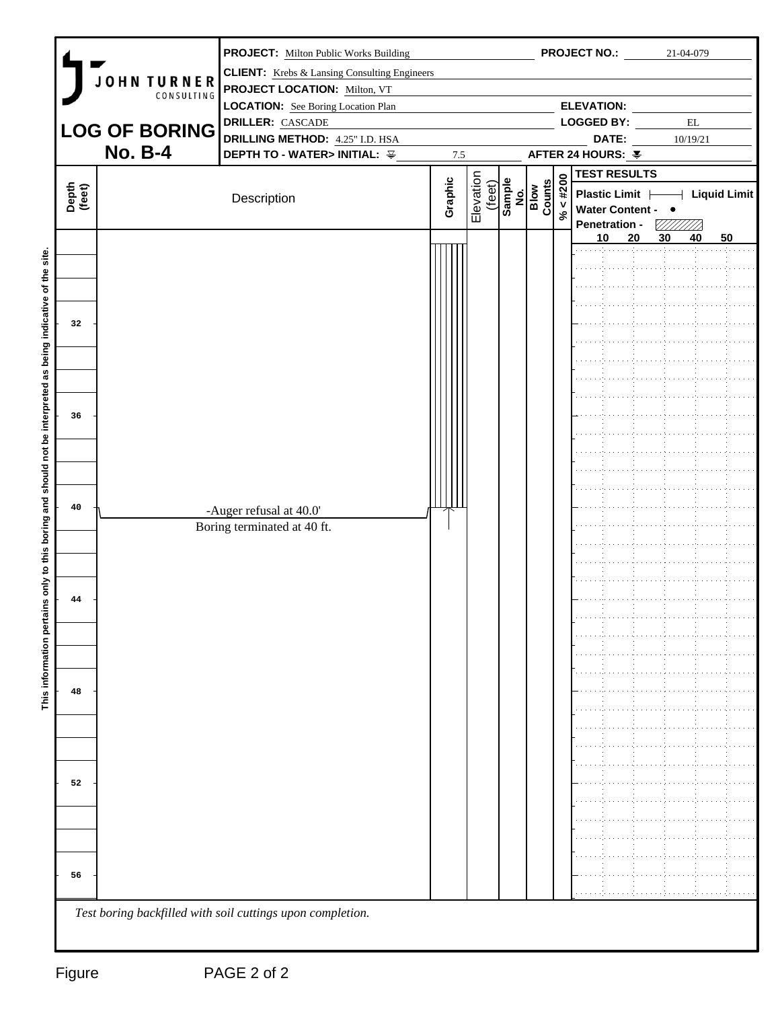|                 |                                  | <b>PROJECT:</b> Milton Public Works Building               |         |                     |                                                                                                                             |             | <b>PROJECT NO.:</b>           |    |    | 21-04-079                |    |  |
|-----------------|----------------------------------|------------------------------------------------------------|---------|---------------------|-----------------------------------------------------------------------------------------------------------------------------|-------------|-------------------------------|----|----|--------------------------|----|--|
|                 |                                  | <b>CLIENT:</b> Krebs & Lansing Consulting Engineers        |         |                     |                                                                                                                             |             |                               |    |    |                          |    |  |
|                 | <b>JOHN TURNER</b><br>CONSULTING | <b>PROJECT LOCATION: Milton, VT</b>                        |         |                     |                                                                                                                             |             |                               |    |    |                          |    |  |
|                 |                                  | <b>LOCATION:</b> See Boring Location Plan                  |         |                     |                                                                                                                             |             | <b>ELEVATION:</b>             |    |    |                          |    |  |
|                 | <b>LOG OF BORING</b>             | <b>DRILLER: CASCADE</b>                                    |         |                     |                                                                                                                             |             | LOGGED BY:                    |    |    | $\mathop{\hbox{\rm EL}}$ |    |  |
|                 |                                  | <b>DRILLING METHOD:</b> 4.25" I.D. HSA                     |         |                     |                                                                                                                             |             | DATE:                         |    |    | 10/19/21                 |    |  |
|                 | <b>No. B-4</b>                   | DEPTH TO - WATER> INITIAL: 辛                               | 7.5     |                     |                                                                                                                             |             | AFTER 24 HOURS: ¥             |    |    |                          |    |  |
|                 |                                  |                                                            |         |                     |                                                                                                                             |             | <b>TEST RESULTS</b>           |    |    |                          |    |  |
| Depth<br>(feet) |                                  | Description                                                | Graphic | Elevation<br>(feet) | $\begin{array}{c}\n\hline\n\text{Sample} \\ \hline\n\text{No.} \\ \hline\n\text{Flow} \\ \hline\n\text{Gunts}\n\end{array}$ | $\% < #200$ | Plastic Limit   Liquid Limit  |    |    |                          |    |  |
|                 |                                  |                                                            |         |                     |                                                                                                                             |             | Water Content - •             |    |    |                          |    |  |
|                 |                                  |                                                            |         |                     |                                                                                                                             |             | Penetration - 777/777/2<br>10 | 20 | 30 | 40                       | 50 |  |
|                 |                                  |                                                            |         |                     |                                                                                                                             |             |                               |    |    |                          |    |  |
|                 |                                  |                                                            |         |                     |                                                                                                                             |             |                               |    |    |                          |    |  |
|                 |                                  |                                                            |         |                     |                                                                                                                             |             |                               |    |    |                          |    |  |
|                 |                                  |                                                            |         |                     |                                                                                                                             |             |                               |    |    |                          |    |  |
| 32              |                                  |                                                            |         |                     |                                                                                                                             |             |                               |    |    |                          |    |  |
|                 |                                  |                                                            |         |                     |                                                                                                                             |             |                               |    |    |                          |    |  |
|                 |                                  |                                                            |         |                     |                                                                                                                             |             |                               |    |    |                          |    |  |
|                 |                                  |                                                            |         |                     |                                                                                                                             |             |                               |    |    |                          |    |  |
|                 |                                  |                                                            |         |                     |                                                                                                                             |             |                               |    |    |                          |    |  |
|                 |                                  |                                                            |         |                     |                                                                                                                             |             |                               |    |    |                          |    |  |
| 36              |                                  |                                                            |         |                     |                                                                                                                             |             |                               |    |    |                          |    |  |
|                 |                                  |                                                            |         |                     |                                                                                                                             |             |                               |    |    |                          |    |  |
|                 |                                  |                                                            |         |                     |                                                                                                                             |             |                               |    |    |                          |    |  |
|                 |                                  |                                                            |         |                     |                                                                                                                             |             |                               |    |    |                          |    |  |
|                 |                                  |                                                            |         |                     |                                                                                                                             |             |                               |    |    |                          |    |  |
| 40              |                                  | -Auger refusal at 40.0'                                    |         |                     |                                                                                                                             |             |                               |    |    |                          |    |  |
|                 |                                  | Boring terminated at 40 ft.                                |         |                     |                                                                                                                             |             |                               |    |    |                          |    |  |
|                 |                                  |                                                            |         |                     |                                                                                                                             |             |                               |    |    |                          |    |  |
|                 |                                  |                                                            |         |                     |                                                                                                                             |             |                               |    |    |                          |    |  |
|                 |                                  |                                                            |         |                     |                                                                                                                             |             |                               |    |    |                          |    |  |
|                 |                                  |                                                            |         |                     |                                                                                                                             |             |                               |    |    |                          |    |  |
| 44              |                                  |                                                            |         |                     |                                                                                                                             |             |                               |    |    |                          |    |  |
|                 |                                  |                                                            |         |                     |                                                                                                                             |             |                               |    |    |                          |    |  |
|                 |                                  |                                                            |         |                     |                                                                                                                             |             |                               |    |    |                          |    |  |
|                 |                                  |                                                            |         |                     |                                                                                                                             |             |                               |    |    |                          |    |  |
|                 |                                  |                                                            |         |                     |                                                                                                                             |             |                               |    |    |                          |    |  |
| 48              |                                  |                                                            |         |                     |                                                                                                                             |             |                               |    |    |                          |    |  |
|                 |                                  |                                                            |         |                     |                                                                                                                             |             |                               |    |    |                          |    |  |
|                 |                                  |                                                            |         |                     |                                                                                                                             |             |                               |    |    |                          |    |  |
|                 |                                  |                                                            |         |                     |                                                                                                                             |             |                               |    |    |                          |    |  |
|                 |                                  |                                                            |         |                     |                                                                                                                             |             |                               |    |    |                          |    |  |
| 52              |                                  |                                                            |         |                     |                                                                                                                             |             |                               |    |    |                          |    |  |
|                 |                                  |                                                            |         |                     |                                                                                                                             |             |                               |    |    |                          |    |  |
|                 |                                  |                                                            |         |                     |                                                                                                                             |             |                               |    |    |                          |    |  |
|                 |                                  |                                                            |         |                     |                                                                                                                             |             |                               |    |    |                          |    |  |
|                 |                                  |                                                            |         |                     |                                                                                                                             |             |                               |    |    |                          |    |  |
|                 |                                  |                                                            |         |                     |                                                                                                                             |             |                               |    |    |                          |    |  |
| 56              |                                  |                                                            |         |                     |                                                                                                                             |             |                               |    |    |                          |    |  |
|                 |                                  |                                                            |         |                     |                                                                                                                             |             |                               |    |    |                          |    |  |
|                 |                                  | Test boring backfilled with soil cuttings upon completion. |         |                     |                                                                                                                             |             |                               |    |    |                          |    |  |
|                 |                                  |                                                            |         |                     |                                                                                                                             |             |                               |    |    |                          |    |  |
|                 |                                  |                                                            |         |                     |                                                                                                                             |             |                               |    |    |                          |    |  |
| Figure          |                                  | PAGE 2 of 2                                                |         |                     |                                                                                                                             |             |                               |    |    |                          |    |  |
|                 |                                  |                                                            |         |                     |                                                                                                                             |             |                               |    |    |                          |    |  |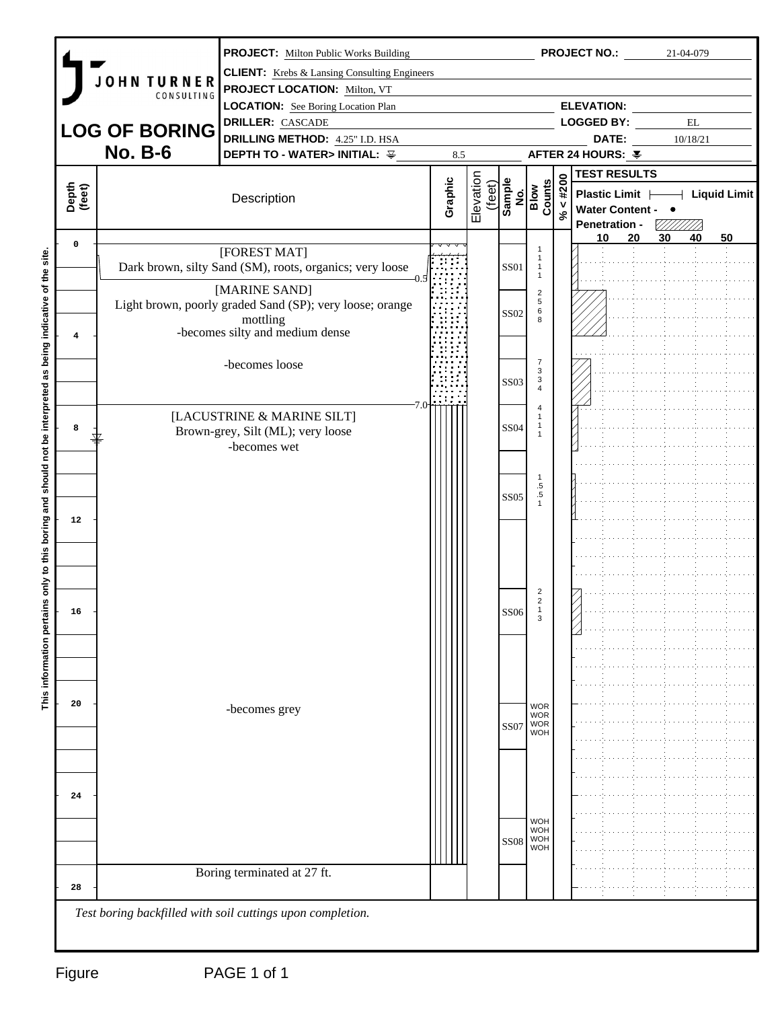|                 |                      | <b>PROJECT:</b> Milton Public Works Building                                               |         |                     |                  |                                 |                            | <b>PROJECT NO.:</b>                       |    | 21-04-079         |                                       |
|-----------------|----------------------|--------------------------------------------------------------------------------------------|---------|---------------------|------------------|---------------------------------|----------------------------|-------------------------------------------|----|-------------------|---------------------------------------|
|                 | JOHN TURNER          | <b>CLIENT:</b> Krebs & Lansing Consulting Engineers<br><b>PROJECT LOCATION: Milton, VT</b> |         |                     |                  |                                 |                            |                                           |    |                   |                                       |
|                 | CONSULTING           | <b>LOCATION:</b> See Boring Location Plan                                                  |         |                     |                  |                                 |                            | <b>ELEVATION:</b>                         |    |                   |                                       |
|                 |                      | <b>DRILLER:</b> CASCADE                                                                    |         |                     |                  |                                 |                            | <b>LOGGED BY:</b>                         |    | $\mathop{\rm EL}$ |                                       |
|                 | <b>LOG OF BORING</b> | <b>DRILLING METHOD:</b> 4.25" I.D. HSA                                                     |         |                     |                  |                                 |                            | DATE:                                     |    | 10/18/21          |                                       |
|                 | <b>No. B-6</b>       | DEPTH TO - WATER> INITIAL: $\frac{125}{125}$                                               |         | 8.5                 |                  |                                 |                            | AFTER 24 HOURS: ¥                         |    |                   |                                       |
|                 |                      |                                                                                            |         |                     |                  |                                 |                            | <b>TEST RESULTS</b>                       |    |                   |                                       |
| Depth<br>(feet) |                      | Description                                                                                | Graphic | Elevation<br>(feet) |                  | Sample<br>No.<br>Blow<br>Counts | 44200                      | Plastic Limit                             |    |                   | $\overline{\phantom{a}}$ Liquid Limit |
|                 |                      |                                                                                            |         |                     |                  |                                 | $\mathcal{S}^{\mathbf{c}}$ | Water Content - •<br><b>Penetration -</b> |    |                   |                                       |
| $\mathbf 0$     |                      |                                                                                            |         |                     |                  |                                 |                            | 10                                        | 20 | 30<br>40          | 50                                    |
|                 |                      | [FOREST MAT]<br>Dark brown, silty Sand (SM), roots, organics; very loose                   |         |                     | SS01             | -1<br>$\overline{1}$            |                            |                                           |    |                   |                                       |
|                 |                      |                                                                                            |         |                     |                  | $\overline{1}$                  |                            |                                           |    |                   |                                       |
|                 |                      | [MARINE SAND]<br>Light brown, poorly graded Sand (SP); very loose; orange                  |         |                     |                  | $\overline{2}$<br>$\sqrt{5}$    |                            |                                           |    |                   |                                       |
|                 |                      | mottling                                                                                   |         |                     | <b>SS02</b>      | 6<br>8                          |                            |                                           |    |                   |                                       |
| $4\overline{ }$ |                      | -becomes silty and medium dense                                                            |         |                     |                  |                                 |                            |                                           |    |                   |                                       |
|                 |                      |                                                                                            |         |                     |                  | $\overline{7}$                  |                            |                                           |    |                   |                                       |
|                 |                      | -becomes loose                                                                             |         |                     |                  | $\mathbf{3}$<br>$\mathbf{3}$    |                            |                                           |    |                   |                                       |
|                 |                      |                                                                                            |         |                     | <b>SS03</b>      | $\overline{4}$                  |                            |                                           |    |                   |                                       |
|                 |                      | [LACUSTRINE & MARINE SILT]                                                                 |         |                     |                  | $\overline{4}$                  |                            |                                           |    |                   |                                       |
| 8               |                      | Brown-grey, Silt (ML); very loose                                                          |         |                     | <b>SS04</b>      | -1                              |                            |                                           |    |                   |                                       |
|                 |                      | -becomes wet                                                                               |         |                     |                  |                                 |                            |                                           |    |                   |                                       |
|                 |                      |                                                                                            |         |                     |                  |                                 |                            |                                           |    |                   |                                       |
|                 |                      |                                                                                            |         |                     |                  | -1<br>$.5\,$                    |                            |                                           |    |                   |                                       |
|                 |                      |                                                                                            |         |                     | <b>SS05</b>      | $\frac{.5}{1}$                  |                            |                                           |    |                   |                                       |
| 12              |                      |                                                                                            |         |                     |                  |                                 |                            |                                           |    |                   |                                       |
|                 |                      |                                                                                            |         |                     |                  |                                 |                            |                                           |    |                   |                                       |
|                 |                      |                                                                                            |         |                     |                  |                                 |                            |                                           |    |                   |                                       |
|                 |                      |                                                                                            |         |                     |                  |                                 |                            |                                           |    |                   |                                       |
|                 |                      |                                                                                            |         |                     |                  | $\overline{2}$                  |                            |                                           |    |                   |                                       |
| 16              |                      |                                                                                            |         |                     | <b>SS06</b>      | $\overline{2}$                  |                            |                                           |    |                   |                                       |
|                 |                      |                                                                                            |         |                     |                  | $\mathsf 3$                     |                            |                                           |    |                   |                                       |
|                 |                      |                                                                                            |         |                     |                  |                                 |                            |                                           |    |                   |                                       |
|                 |                      |                                                                                            |         |                     |                  |                                 |                            |                                           |    |                   |                                       |
|                 |                      |                                                                                            |         |                     |                  |                                 |                            |                                           |    |                   |                                       |
| 20              |                      |                                                                                            |         |                     |                  |                                 |                            |                                           |    |                   |                                       |
|                 |                      | -becomes grey                                                                              |         |                     |                  | WOR<br>WOR                      |                            |                                           |    |                   |                                       |
|                 |                      |                                                                                            |         |                     | SS07             | <b>WOR</b><br><b>WOH</b>        |                            |                                           |    |                   |                                       |
|                 |                      |                                                                                            |         |                     |                  |                                 |                            |                                           |    |                   |                                       |
|                 |                      |                                                                                            |         |                     |                  |                                 |                            |                                           |    |                   |                                       |
| 24              |                      |                                                                                            |         |                     |                  |                                 |                            |                                           |    |                   |                                       |
|                 |                      |                                                                                            |         |                     |                  |                                 |                            |                                           |    |                   |                                       |
|                 |                      |                                                                                            |         |                     |                  | <b>WOH</b><br><b>WOH</b>        |                            |                                           |    |                   |                                       |
|                 |                      |                                                                                            |         |                     | SS <sub>08</sub> | <b>WOH</b><br><b>WOH</b>        |                            |                                           |    |                   |                                       |
|                 |                      |                                                                                            |         |                     |                  |                                 |                            |                                           |    |                   |                                       |
|                 |                      | Boring terminated at 27 ft.                                                                |         |                     |                  |                                 |                            |                                           |    |                   |                                       |
| 28              |                      |                                                                                            |         |                     |                  |                                 |                            |                                           |    |                   |                                       |
|                 |                      | Test boring backfilled with soil cuttings upon completion.                                 |         |                     |                  |                                 |                            |                                           |    |                   |                                       |
|                 |                      |                                                                                            |         |                     |                  |                                 |                            |                                           |    |                   |                                       |
|                 |                      |                                                                                            |         |                     |                  |                                 |                            |                                           |    |                   |                                       |
| Figure          |                      | PAGE 1 of 1                                                                                |         |                     |                  |                                 |                            |                                           |    |                   |                                       |
|                 |                      |                                                                                            |         |                     |                  |                                 |                            |                                           |    |                   |                                       |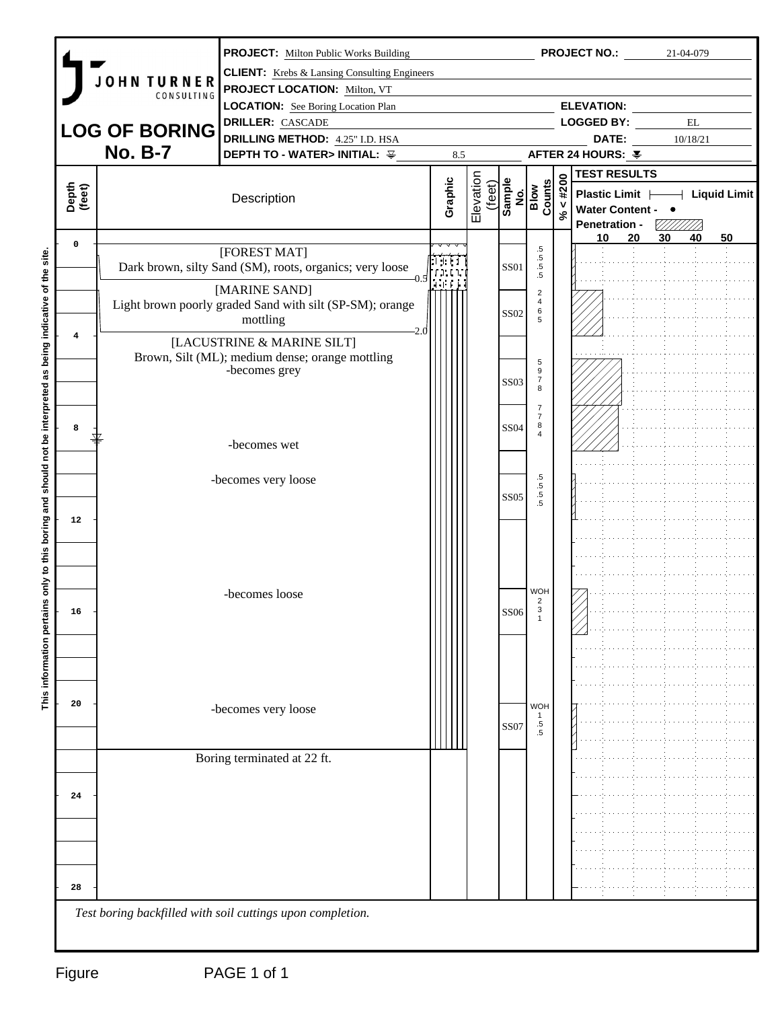|                         |                      | <b>PROJECT:</b> Milton Public Works Building               |         |                     |             |                                                   |                            | <b>PROJECT NO.:</b> 21-04-079    |    |                   |    |
|-------------------------|----------------------|------------------------------------------------------------|---------|---------------------|-------------|---------------------------------------------------|----------------------------|----------------------------------|----|-------------------|----|
|                         | <b>JOHN TURNER</b>   | <b>CLIENT:</b> Krebs & Lansing Consulting Engineers        |         |                     |             |                                                   |                            |                                  |    |                   |    |
|                         | CONSULTING           | PROJECT LOCATION: Milton, VT                               |         |                     |             |                                                   |                            |                                  |    |                   |    |
|                         |                      | <b>LOCATION:</b> See Boring Location Plan                  |         |                     |             |                                                   |                            | <b>ELEVATION:</b>                |    |                   |    |
|                         | <b>LOG OF BORING</b> | <b>DRILLER: CASCADE</b>                                    |         |                     |             |                                                   |                            | <b>LOGGED BY:</b>                |    | $\mathop{\rm EL}$ |    |
|                         | <b>No. B-7</b>       | <b>DRILLING METHOD:</b> 4.25" I.D. HSA                     |         |                     |             |                                                   |                            | DATE:                            |    | 10/18/21          |    |
|                         |                      | DEPTH TO - WATER> INITIAL: ¥                               |         | 8.5                 |             |                                                   |                            | AFTER 24 HOURS: ¥                |    |                   |    |
|                         |                      |                                                            |         |                     |             |                                                   |                            | <b>TEST RESULTS</b>              |    |                   |    |
| Depth<br>(feet)         |                      | Description                                                | Graphic | Elevation<br>(feet) |             | Sample<br>No.<br>Blow<br>Counts                   | 44200                      | Plastic Limit   Liquid Limit     |    |                   |    |
|                         |                      |                                                            |         |                     |             |                                                   | $\mathcal{S}^{\mathbf{c}}$ | Water Content - •                |    |                   |    |
|                         |                      |                                                            |         |                     |             |                                                   |                            | <b>Penetration -</b><br>20<br>10 | 30 | 40                | 50 |
| $\mathbf 0$             |                      | [FOREST MAT]                                               |         |                     |             | $.5\,$                                            |                            |                                  |    |                   |    |
|                         |                      | Dark brown, silty Sand (SM), roots, organics; very loose   | det t   |                     | SS01        | $.5\,$<br>$\begin{array}{c} .5 \\ .5 \end{array}$ |                            |                                  |    |                   |    |
|                         |                      | [MARINE SAND]                                              | h e ri  |                     |             |                                                   |                            |                                  |    |                   |    |
|                         |                      | Light brown poorly graded Sand with silt (SP-SM); orange   |         |                     |             | $\overline{2}$<br>$\overline{4}$                  |                            |                                  |    |                   |    |
|                         |                      | mottling                                                   |         |                     | <b>SS02</b> | $\,6\,$<br>5                                      |                            |                                  |    |                   |    |
| $\overline{\mathbf{4}}$ |                      | [LACUSTRINE & MARINE SILT]                                 |         |                     |             |                                                   |                            |                                  |    |                   |    |
|                         |                      | Brown, Silt (ML); medium dense; orange mottling            |         |                     |             | 5                                                 |                            |                                  |    |                   |    |
|                         |                      | -becomes grey                                              |         |                     |             | $\,9$                                             |                            |                                  |    |                   |    |
|                         |                      |                                                            |         |                     | <b>SS03</b> | $\begin{array}{c} 7 \\ 8 \end{array}$             |                            |                                  |    |                   |    |
|                         |                      |                                                            |         |                     |             | $\overline{7}$                                    |                            |                                  |    |                   |    |
| 8                       |                      |                                                            |         |                     | <b>SS04</b> | $\overline{7}$<br>8                               |                            |                                  |    |                   |    |
|                         |                      | -becomes wet                                               |         |                     |             | $\overline{4}$                                    |                            |                                  |    |                   |    |
|                         |                      |                                                            |         |                     |             |                                                   |                            |                                  |    |                   |    |
|                         |                      | -becomes very loose                                        |         |                     |             | $.5\,$                                            |                            |                                  |    |                   |    |
|                         |                      |                                                            |         |                     | <b>SS05</b> | $.5\,$<br>$\frac{.5}{.5}$                         |                            |                                  |    |                   |    |
|                         |                      |                                                            |         |                     |             |                                                   |                            |                                  |    |                   |    |
| 12                      |                      |                                                            |         |                     |             |                                                   |                            |                                  |    |                   |    |
|                         |                      |                                                            |         |                     |             |                                                   |                            |                                  |    |                   |    |
|                         |                      |                                                            |         |                     |             |                                                   |                            |                                  |    |                   |    |
|                         |                      |                                                            |         |                     |             |                                                   |                            |                                  |    |                   |    |
|                         |                      | -becomes loose                                             |         |                     |             | <b>WOH</b><br>$\overline{2}$                      |                            |                                  |    |                   |    |
| 16                      |                      |                                                            |         |                     | <b>SS06</b> | $\overline{1}$                                    |                            |                                  |    |                   |    |
|                         |                      |                                                            |         |                     |             |                                                   |                            |                                  |    |                   |    |
|                         |                      |                                                            |         |                     |             |                                                   |                            |                                  |    |                   |    |
|                         |                      |                                                            |         |                     |             |                                                   |                            |                                  |    |                   |    |
|                         |                      |                                                            |         |                     |             |                                                   |                            |                                  |    |                   |    |
| 20                      |                      | -becomes very loose                                        |         |                     |             | <b>WOH</b>                                        |                            |                                  |    |                   |    |
|                         |                      |                                                            |         |                     | SS07        | $.5\,$                                            |                            |                                  |    |                   |    |
|                         |                      |                                                            |         |                     |             | $.5\,$                                            |                            |                                  |    |                   |    |
|                         |                      | Boring terminated at 22 ft.                                |         |                     |             |                                                   |                            |                                  |    |                   |    |
|                         |                      |                                                            |         |                     |             |                                                   |                            |                                  |    |                   |    |
| 24                      |                      |                                                            |         |                     |             |                                                   |                            |                                  |    |                   |    |
|                         |                      |                                                            |         |                     |             |                                                   |                            |                                  |    |                   |    |
|                         |                      |                                                            |         |                     |             |                                                   |                            |                                  |    |                   |    |
|                         |                      |                                                            |         |                     |             |                                                   |                            |                                  |    |                   |    |
|                         |                      |                                                            |         |                     |             |                                                   |                            |                                  |    |                   |    |
|                         |                      |                                                            |         |                     |             |                                                   |                            |                                  |    |                   |    |
| 28                      |                      |                                                            |         |                     |             |                                                   |                            |                                  |    |                   |    |
|                         |                      | Test boring backfilled with soil cuttings upon completion. |         |                     |             |                                                   |                            |                                  |    |                   |    |
|                         |                      |                                                            |         |                     |             |                                                   |                            |                                  |    |                   |    |
|                         |                      |                                                            |         |                     |             |                                                   |                            |                                  |    |                   |    |
|                         |                      |                                                            |         |                     |             |                                                   |                            |                                  |    |                   |    |
| Figure                  |                      | PAGE 1 of 1                                                |         |                     |             |                                                   |                            |                                  |    |                   |    |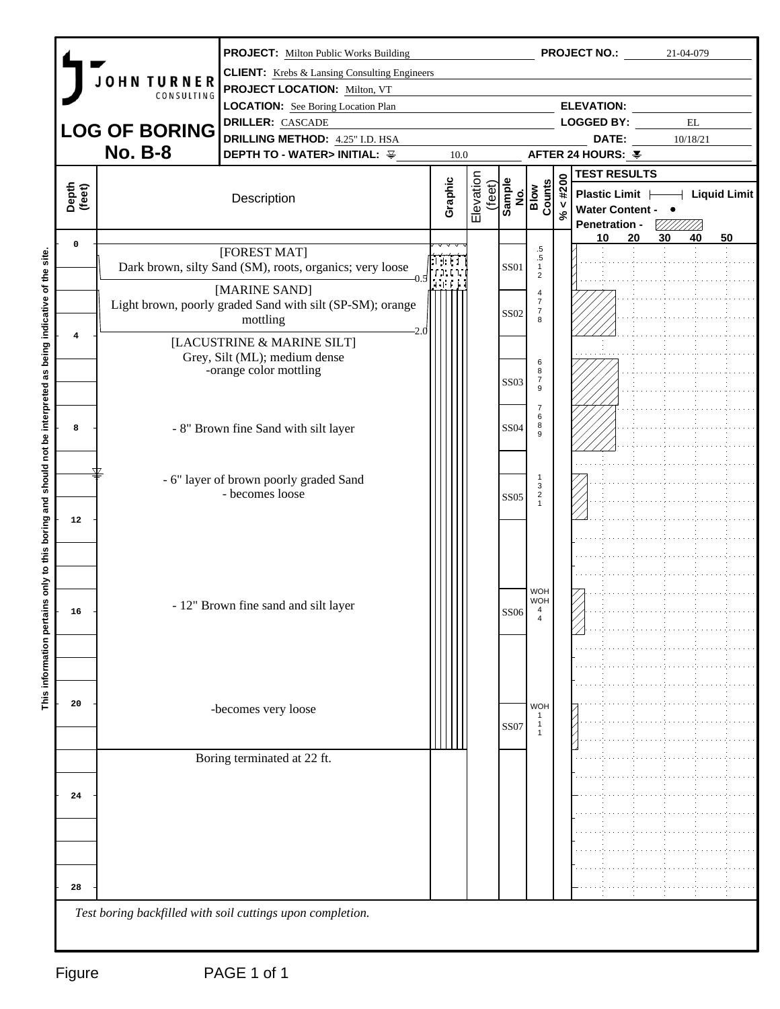|                 |                      | <b>PROJECT:</b> Milton Public Works Building                               |                       |                     |             |                                                                                                                                |          | <b>PROJECT NO.:</b>                               |    | 21-04-079                     |    |
|-----------------|----------------------|----------------------------------------------------------------------------|-----------------------|---------------------|-------------|--------------------------------------------------------------------------------------------------------------------------------|----------|---------------------------------------------------|----|-------------------------------|----|
|                 | <b>JOHN TURNER</b>   | <b>CLIENT:</b> Krebs & Lansing Consulting Engineers                        |                       |                     |             |                                                                                                                                |          |                                                   |    |                               |    |
|                 | CONSULTING           | PROJECT LOCATION: Milton, VT                                               |                       |                     |             |                                                                                                                                |          |                                                   |    |                               |    |
|                 |                      | <b>LOCATION:</b> See Boring Location Plan                                  |                       |                     |             |                                                                                                                                |          | <b>ELEVATION:</b>                                 |    |                               |    |
|                 | <b>LOG OF BORING</b> | <b>DRILLER: CASCADE</b><br><b>DRILLING METHOD:</b> 4.25" I.D. HSA          |                       |                     |             |                                                                                                                                |          | <b>LOGGED BY:</b><br>DATE:                        |    | $\mathop{\rm EL}$<br>10/18/21 |    |
|                 | <b>No. B-8</b>       | <b>DEPTH TO - WATER&gt; INITIAL: 辛</b>                                     | 10.0                  |                     |             |                                                                                                                                |          | AFTER 24 HOURS: ¥                                 |    |                               |    |
|                 |                      |                                                                            |                       |                     |             |                                                                                                                                |          | <b>TEST RESULTS</b>                               |    |                               |    |
|                 |                      |                                                                            |                       |                     |             |                                                                                                                                | 44200    |                                                   |    |                               |    |
| Depth<br>(feet) |                      | Description                                                                | Graphic               | Elevation<br>(feet) |             | $\begin{array}{c}\n\overline{\text{sample}} \\ \hline\n\text{No.} \\ \hline\n\text{Flow} \\ \hline\n\text{Gunts}\n\end{array}$ |          | Plastic Limit   Liquid Limit<br>Water Content - • |    |                               |    |
|                 |                      |                                                                            |                       |                     |             |                                                                                                                                | $\aleph$ | <b>Penetration -</b>                              |    | VIIIIII)                      |    |
| $\mathbf 0$     |                      |                                                                            |                       |                     |             | $.5\,$                                                                                                                         |          | 20<br>10                                          | 30 | 40                            | 50 |
|                 |                      | [FOREST MAT]<br>Dark brown, silty Sand (SM), roots, organics; very loose   | t tit                 |                     | SS01        | $.5\,$<br>$\overline{1}$                                                                                                       |          |                                                   |    |                               |    |
|                 |                      |                                                                            | . <u>.</u><br>ا استعا |                     |             | $\overline{2}$                                                                                                                 |          |                                                   |    |                               |    |
|                 |                      | [MARINE SAND]<br>Light brown, poorly graded Sand with silt (SP-SM); orange |                       |                     |             | $\overline{4}$<br>$\overline{7}$                                                                                               |          |                                                   |    |                               |    |
|                 |                      | mottling                                                                   |                       |                     | <b>SS02</b> | $\overline{7}$<br>8                                                                                                            |          |                                                   |    |                               |    |
| $\overline{4}$  |                      | [LACUSTRINE & MARINE SILT]                                                 |                       |                     |             |                                                                                                                                |          |                                                   |    |                               |    |
|                 |                      | Grey, Silt (ML); medium dense                                              |                       |                     |             |                                                                                                                                |          |                                                   |    |                               |    |
|                 |                      | -orange color mottling                                                     |                       |                     |             | 6<br>8                                                                                                                         |          |                                                   |    |                               |    |
|                 |                      |                                                                            |                       |                     | <b>SS03</b> | $\begin{array}{c} 7 \\ 9 \end{array}$                                                                                          |          |                                                   |    |                               |    |
|                 |                      |                                                                            |                       |                     |             | $\overline{7}$                                                                                                                 |          |                                                   |    |                               |    |
| 8               |                      | - 8" Brown fine Sand with silt layer                                       |                       |                     | <b>SS04</b> | 6<br>8                                                                                                                         |          |                                                   |    |                               |    |
|                 |                      |                                                                            |                       |                     |             | 9                                                                                                                              |          |                                                   |    |                               |    |
|                 |                      |                                                                            |                       |                     |             |                                                                                                                                |          |                                                   |    |                               |    |
|                 |                      | - 6" layer of brown poorly graded Sand                                     |                       |                     |             | -1<br>3                                                                                                                        |          |                                                   |    |                               |    |
|                 |                      | - becomes loose                                                            |                       |                     | <b>SS05</b> | $\frac{2}{1}$                                                                                                                  |          |                                                   |    |                               |    |
| 12              |                      |                                                                            |                       |                     |             |                                                                                                                                |          |                                                   |    |                               |    |
|                 |                      |                                                                            |                       |                     |             |                                                                                                                                |          |                                                   |    |                               |    |
|                 |                      |                                                                            |                       |                     |             |                                                                                                                                |          |                                                   |    |                               |    |
|                 |                      |                                                                            |                       |                     |             |                                                                                                                                |          |                                                   |    |                               |    |
|                 |                      |                                                                            |                       |                     |             | <b>WOH</b>                                                                                                                     |          |                                                   |    |                               |    |
|                 |                      | - 12" Brown fine sand and silt layer                                       |                       |                     |             | <b>WOH</b>                                                                                                                     |          |                                                   |    |                               |    |
| 16              |                      |                                                                            |                       |                     | <b>SS06</b> | $\overline{4}$                                                                                                                 |          |                                                   |    |                               |    |
|                 |                      |                                                                            |                       |                     |             |                                                                                                                                |          |                                                   |    |                               |    |
|                 |                      |                                                                            |                       |                     |             |                                                                                                                                |          |                                                   |    |                               |    |
|                 |                      |                                                                            |                       |                     |             |                                                                                                                                |          |                                                   |    |                               |    |
|                 |                      |                                                                            |                       |                     |             |                                                                                                                                |          |                                                   |    |                               |    |
| 20              |                      | -becomes very loose                                                        |                       |                     |             | <b>WOH</b>                                                                                                                     |          |                                                   |    |                               |    |
|                 |                      |                                                                            |                       |                     | SS07        | $\overline{\phantom{a}}$                                                                                                       |          |                                                   |    |                               |    |
|                 |                      |                                                                            |                       |                     |             |                                                                                                                                |          |                                                   |    |                               |    |
|                 |                      | Boring terminated at 22 ft.                                                |                       |                     |             |                                                                                                                                |          |                                                   |    |                               |    |
|                 |                      |                                                                            |                       |                     |             |                                                                                                                                |          |                                                   |    |                               |    |
| 24              |                      |                                                                            |                       |                     |             |                                                                                                                                |          |                                                   |    |                               |    |
|                 |                      |                                                                            |                       |                     |             |                                                                                                                                |          |                                                   |    |                               |    |
|                 |                      |                                                                            |                       |                     |             |                                                                                                                                |          |                                                   |    |                               |    |
|                 |                      |                                                                            |                       |                     |             |                                                                                                                                |          |                                                   |    |                               |    |
|                 |                      |                                                                            |                       |                     |             |                                                                                                                                |          |                                                   |    |                               |    |
| 28              |                      |                                                                            |                       |                     |             |                                                                                                                                |          |                                                   |    |                               |    |
|                 |                      | Test boring backfilled with soil cuttings upon completion.                 |                       |                     |             |                                                                                                                                |          |                                                   |    |                               |    |
|                 |                      |                                                                            |                       |                     |             |                                                                                                                                |          |                                                   |    |                               |    |
|                 |                      |                                                                            |                       |                     |             |                                                                                                                                |          |                                                   |    |                               |    |
| Figure          |                      | PAGE 1 of 1                                                                |                       |                     |             |                                                                                                                                |          |                                                   |    |                               |    |
|                 |                      |                                                                            |                       |                     |             |                                                                                                                                |          |                                                   |    |                               |    |